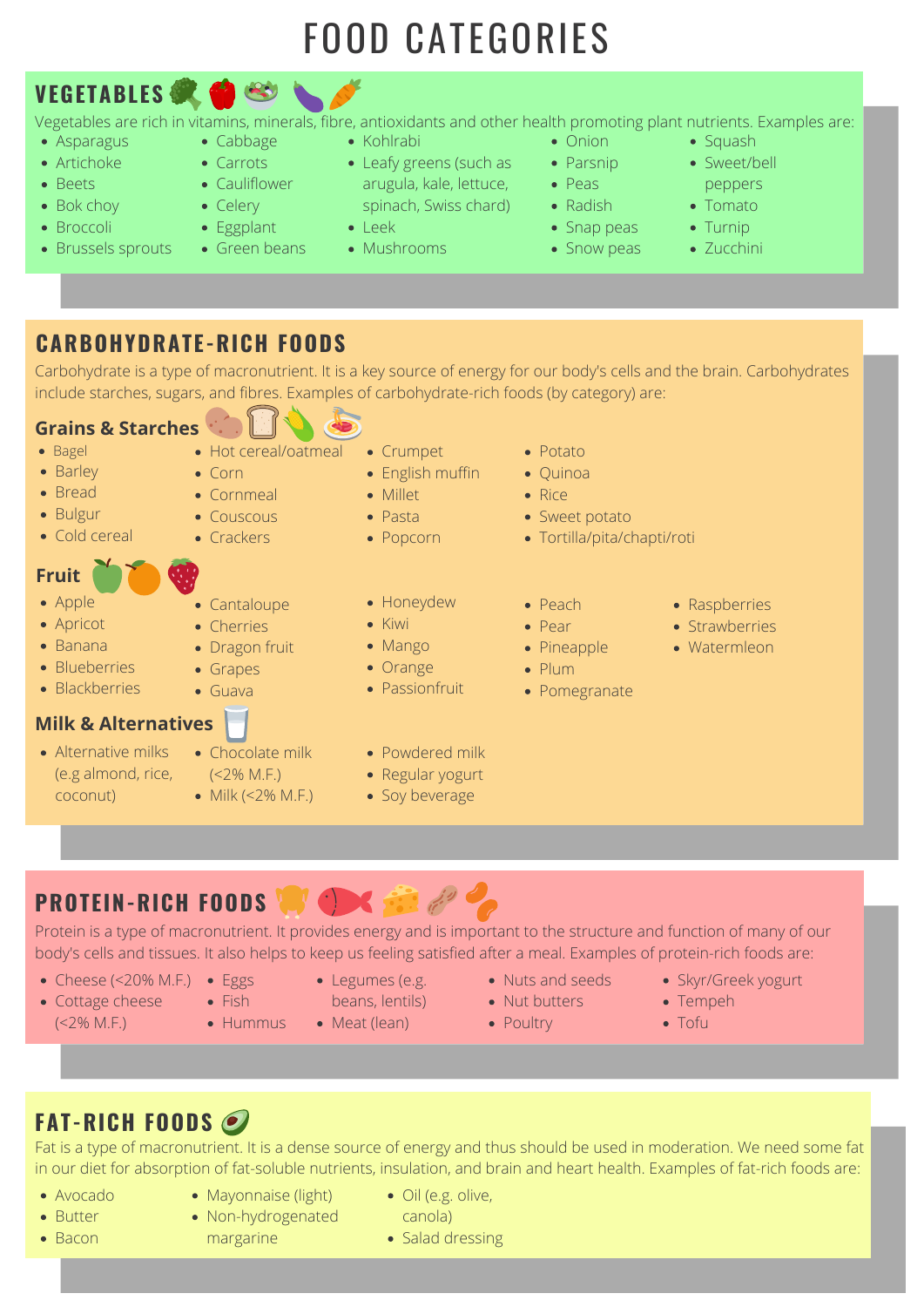# FOOD CATEGORIES

- Asparagus
- Artichoke
- Beets
- Bok choy
- Broccoli
- Brussels sprouts
- Cabbage
- Carrots
- Cauliflower
- Celery
- Eggplant
- Green beans
- Kohlrabi
- Leafy greens (such as
	- arugula, kale, lettuce, spinach, Swiss chard)
- Mushrooms

Vegetables are rich in vitamins, minerals, fibre, antioxidants and other health promoting plant nutrients. Examples are:

- Onion
- Parsnip
- Peas
- Radish
- Snap peas
- Snow peas
- Squash
- Sweet/bell
- peppers
- Tomato
- Turnip
- Zucchini
- Leek
	-
- -
	-

## **CARBOHYDRATE-RICH FOODS**

Carbohydrate is a type of macronutrient. It is a key source of energy for our body's cells and the brain. Carbohydrates include starches, sugars, and fibres. Examples of carbohydrate-rich foods (by category) are:

#### **Grains & Starches**

- Bagel
- Barley
- Bread
- Bulgur
- Cold cereal
- Crumpet
	- English muffin
	- Millet
- Pasta
- Popcorn
- Potato
- Quinoa
- Rice
- Sweet potato
- Tortilla/pita/chapti/roti
- Honeydew
- Kiwi
- Mango
- Orange
- Passionfruit
- Peach
- Pear
- Pineapple
- Plum
- Pomegranate
- Raspberries
- Strawberries
- Watermleon

- 
- 
- 
- 

- margarine
- Salad dressing

Grapes

Guava

#### **Milk & Alternatives**

- Alternative milks (e.g almond, rice, coconut)
- Chocolate milk
	- $(<$  2% M.F.)
	- Milk  $(<2% M.F.)$
- Powdered milk
- Regular yogurt
- Soy beverage

# **PROTEIN-RICH FOODS**

Protein is a type of macronutrient. It provides energy and is important to the structure and function of many of our body's cells and tissues. It also helps to keep us feeling satisfied after a meal. Examples of protein-rich foods are:

# **FAT-RICH FOODS**

Fat is a type of macronutrient. It is a dense source of energy and thus should be used in moderation. We need some fat in our diet for absorption of fat-soluble nutrients, insulation, and brain and heart health. Examples of fat-rich foods are:

- Cheese (<20% M.F.) Eggs
- Cottage cheese Fish  $(<2\%$  M.F.) **Hummus**
- - - Meat (lean)
- Nuts and seeds
- beans, lentils) **•** Nut butters • Poultry
- Tempeh
- 
- Skyr/Greek yogurt
- Tofu

- Avocado
- Mayonnaise (light)
- Oil (e.g. olive,
- Non-hydrogenated
- canola)

• Bacon

• Butter

Legumes (e.g.

## **Fruit**

- Apple
- Apricot
- Banana
- Blueberries
- Blackberries
- Hot cereal/oatmeal
- Corn
- Cornmeal
- Couscous
- Crackers

• Cantaloupe

• Dragon fruit

• Cherries